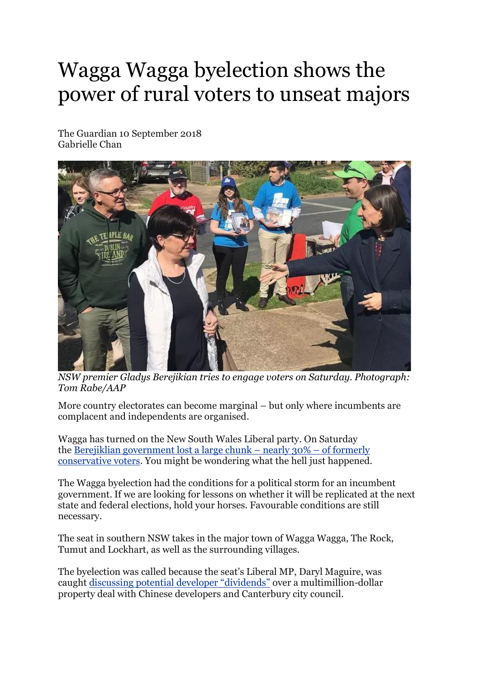## Wagga Wagga byelection shows the power of rural voters to unseat majors

The Guardian 10 September 2018 Gabrielle Chan



*NSW premier Gladys Berejikian tries to engage voters on Saturday. Photograph: Tom Rabe/AAP*

More country electorates can become marginal – but only where incumbents are complacent and independents are organised[.](https://www.theguardian.com/australia-news/2018/sep/10/wagga-wagga-byelection-shows-the-power-of-rural-voters-to-unseat-majors?CMP=share_btn_fb#img-1)

Wagga has turned on the New South Wales Liberal party. On Saturday the [Berejiklian government lost a large chunk](https://www.theguardian.com/australia-news/2018/sep/09/nsw-liberals-set-to-lose-wagga-wagga-byelection-on-swing-of-29) – nearly 30% – of formerly [conservative voters.](https://www.theguardian.com/australia-news/2018/sep/09/nsw-liberals-set-to-lose-wagga-wagga-byelection-on-swing-of-29) You might be wondering what the hell just happened.

The Wagga byelection had the conditions for a political storm for an incumbent government. If we are looking for lessons on whether it will be replicated at the next state and federal elections, hold your horses. Favourable conditions are still necessary.

The seat in southern NSW takes in the major town of Wagga Wagga, The Rock, Tumut and Lockhart, as well as the surrounding villages.

The byelection was called because the seat's Liberal MP, Daryl Maguire, was caught [discussing potential developer "dividends"](https://www.theguardian.com/australia-news/2018/jul/15/daryl-maguire-should-think-carefully-about-quitting-politics-berejiklian-says) over a multimillion-dollar property deal with Chinese developers and Canterbury city council.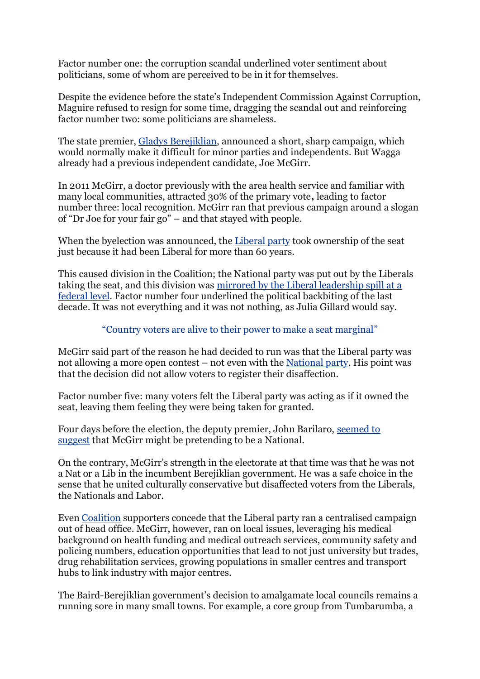Factor number one: the corruption scandal underlined voter sentiment about politicians, some of whom are perceived to be in it for themselves.

Despite the evidence before the state's Independent Commission Against Corruption, Maguire refused to resign for some time, dragging the scandal out and reinforcing factor number two: some politicians are shameless.

The state premier, [Gladys Berejiklian,](https://www.theguardian.com/australia-news/gladys-berejiklian) announced a short, sharp campaign, which would normally make it difficult for minor parties and independents. But Wagga already had a previous independent candidate, Joe McGirr.

In 2011 McGirr, a doctor previously with the area health service and familiar with many local communities, attracted 30% of the primary vote**,** leading to factor number three: local recognition. McGirr ran that previous campaign around a slogan of "Dr Joe for your fair go" – and that stayed with people.

When the byelection was announced, the [Liberal party](https://www.theguardian.com/australia-news/liberal-party) took ownership of the seat just because it had been Liberal for more than 60 years.

This caused division in the Coalition; the National party was put out by the Liberals taking the seat, and this division was [mirrored by the Liberal leadership spill at a](https://www.theguardian.com/australia-news/liberal-leadership-spill-2018)  [federal level.](https://www.theguardian.com/australia-news/liberal-leadership-spill-2018) Factor number four underlined the political backbiting of the last decade. It was not everything and it was not nothing, as Julia Gillard would say.

## "Country voters are alive to their power to make a seat marginal"

McGirr said part of the reason he had decided to run was that the Liberal party was not allowing a more open contest – not even with the [National party.](https://www.theguardian.com/australia-news/national-party) His point was that the decision did not allow voters to register their disaffection.

Factor number five: many voters felt the Liberal party was acting as if it owned the seat, leaving them feeling they were being taken for granted.

Four days before the election, the deputy premier, John Barilaro, [seemed to](https://www.smh.com.au/politics/nsw/barilaro-wagga-election-mcgirr-liberals-nationals-20180905-p501xf.html)  [suggest](https://www.smh.com.au/politics/nsw/barilaro-wagga-election-mcgirr-liberals-nationals-20180905-p501xf.html) that McGirr might be pretending to be a National.

On the contrary, McGirr's strength in the electorate at that time was that he was not a Nat or a Lib in the incumbent Berejiklian government. He was a safe choice in the sense that he united culturally conservative but disaffected voters from the Liberals, the Nationals and Labor.

Even [Coalition](https://www.theguardian.com/australia-news/coalition) supporters concede that the Liberal party ran a centralised campaign out of head office. McGirr, however, ran on local issues, leveraging his medical background on health funding and medical outreach services, community safety and policing numbers, education opportunities that lead to not just university but trades, drug rehabilitation services, growing populations in smaller centres and transport hubs to link industry with major centres.

The Baird-Berejiklian government's decision to amalgamate local councils remains a running sore in many small towns. For example, a core group from Tumbarumba, a